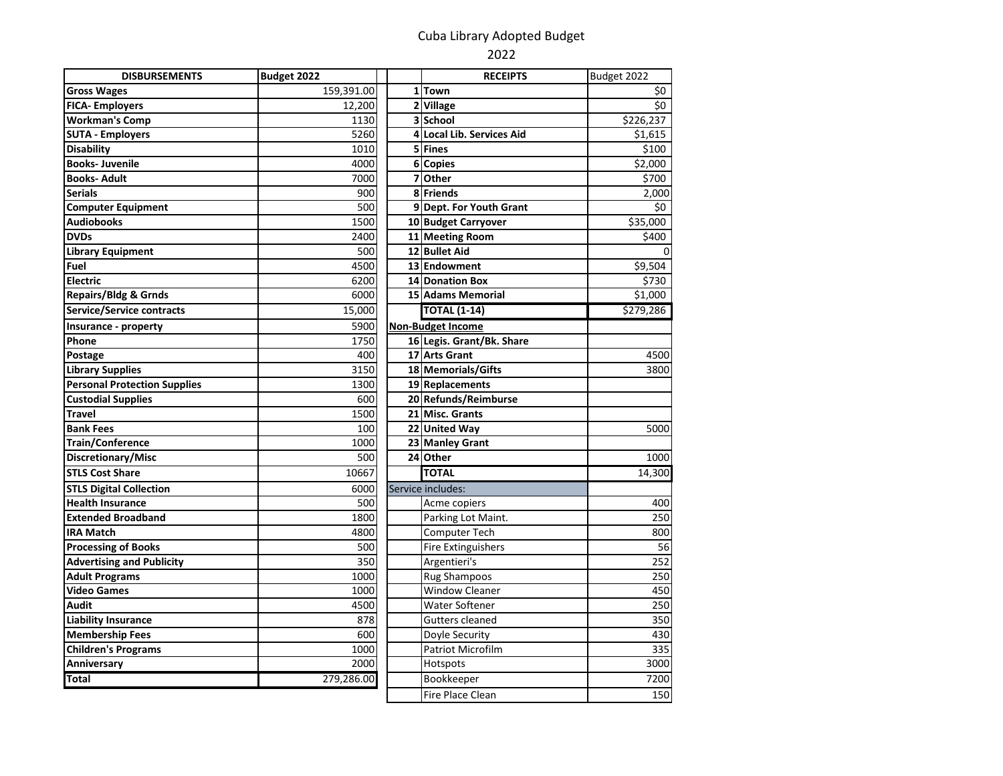## Cuba Library Adopted Budget

## 2022

 $\frac{7200}{150}$ 

| <b>DISBURSEMENTS</b>                | Budget 2022 | <b>RECEIPTS</b>           | Budget 2022 |
|-------------------------------------|-------------|---------------------------|-------------|
| <b>Gross Wages</b>                  | 159,391.00  | 1Town                     | \$0         |
| <b>FICA-Employers</b>               | 12,200      | 2 Village                 | \$0         |
| <b>Workman's Comp</b>               | 1130        | 3 School                  | \$226,237   |
| <b>SUTA - Employers</b>             | 5260        | 4 Local Lib. Services Aid | \$1,615     |
| <b>Disability</b>                   | 1010        | 5 Fines                   | \$100       |
| <b>Books-Juvenile</b>               | 4000        | 6 Copies                  | \$2,000     |
| <b>Books-Adult</b>                  | 7000        | 7 Other                   | \$700       |
| <b>Serials</b>                      | 900         | 8 Friends                 | 2,000       |
| <b>Computer Equipment</b>           | 500         | 9 Dept. For Youth Grant   | \$0         |
| <b>Audiobooks</b>                   | 1500        | 10 Budget Carryover       | \$35,000    |
| <b>DVDs</b>                         | 2400        | 11 Meeting Room           | \$400       |
| <b>Library Equipment</b>            | 500         | 12 Bullet Aid             | 0           |
| Fuel                                | 4500        | 13 Endowment              | \$9,504     |
| <b>Electric</b>                     | 6200        | 14 Donation Box           | \$730       |
| <b>Repairs/Bldg &amp; Grnds</b>     | 6000        | <b>15 Adams Memorial</b>  | \$1,000     |
| <b>Service/Service contracts</b>    | 15,000      | <b>TOTAL (1-14)</b>       | \$279,286   |
| Insurance - property                | 5900        | <b>Non-Budget Income</b>  |             |
| Phone                               | 1750        | 16 Legis. Grant/Bk. Share |             |
| Postage                             | 400         | 17 Arts Grant             | 4500        |
| <b>Library Supplies</b>             | 3150        | 18 Memorials/Gifts        | 3800        |
| <b>Personal Protection Supplies</b> | 1300        | 19 Replacements           |             |
| <b>Custodial Supplies</b>           | 600         | 20 Refunds/Reimburse      |             |
| <b>Travel</b>                       | 1500        | 21 Misc. Grants           |             |
| <b>Bank Fees</b>                    | 100         | 22 United Way             | 5000        |
| <b>Train/Conference</b>             | 1000        | 23 Manley Grant           |             |
| Discretionary/Misc                  | 500         | 24 Other                  | 1000        |
| <b>STLS Cost Share</b>              | 10667       | <b>TOTAL</b>              | 14,300      |
| <b>STLS Digital Collection</b>      | 6000        | Service includes:         |             |
| <b>Health Insurance</b>             | 500         | Acme copiers              | 400         |
| <b>Extended Broadband</b>           | 1800        | Parking Lot Maint.        | 250         |
| <b>IRA Match</b>                    | 4800        | Computer Tech             | 800         |
| <b>Processing of Books</b>          | 500         | <b>Fire Extinguishers</b> | 56          |
| <b>Advertising and Publicity</b>    | 350         | Argentieri's              | 252         |
| <b>Adult Programs</b>               | 1000        | <b>Rug Shampoos</b>       | 250         |
| <b>Video Games</b>                  | 1000        | <b>Window Cleaner</b>     | 450         |
| <b>Audit</b>                        | 4500        | Water Softener            | 250         |
| <b>Liability Insurance</b>          | 878         | Gutters cleaned           | 350         |
| <b>Membership Fees</b>              | 600         | Doyle Security            | 430         |
| <b>Children's Programs</b>          | 1000        | <b>Patriot Microfilm</b>  | 335         |
| Anniversary                         | 2000        | Hotspots                  | 3000        |
| <b>Total</b>                        | 279,286.00  | Bookkeeper                | 7200        |
|                                     |             | Fire Place Clean          | 150         |